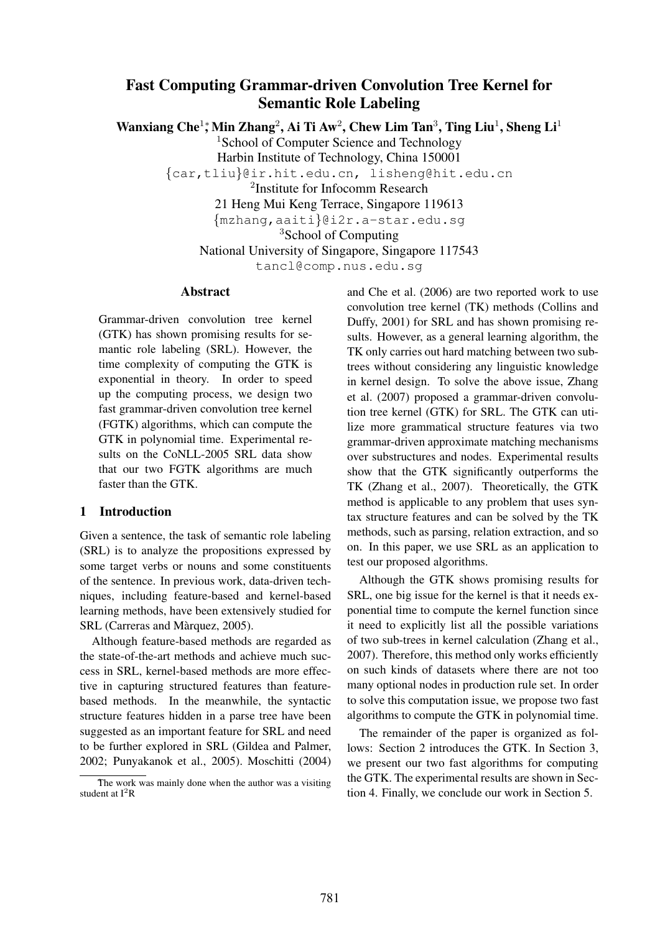# Fast Computing Grammar-driven Convolution Tree Kernel for Semantic Role Labeling

Wanxiang Che<sup>1</sup>;\* Min Zhang<sup>2</sup>, Ai Ti Aw<sup>2</sup>, Chew Lim Tan<sup>3</sup>, Ting Liu<sup>1</sup>, Sheng Li<sup>1</sup>

<sup>1</sup>School of Computer Science and Technology

Harbin Institute of Technology, China 150001

{car,tliu}@ir.hit.edu.cn, lisheng@hit.edu.cn

2 Institute for Infocomm Research

21 Heng Mui Keng Terrace, Singapore 119613

{mzhang,aaiti}@i2r.a-star.edu.sg

<sup>3</sup>School of Computing

National University of Singapore, Singapore 117543

tancl@comp.nus.edu.sg

#### Abstract

Grammar-driven convolution tree kernel (GTK) has shown promising results for semantic role labeling (SRL). However, the time complexity of computing the GTK is exponential in theory. In order to speed up the computing process, we design two fast grammar-driven convolution tree kernel (FGTK) algorithms, which can compute the GTK in polynomial time. Experimental results on the CoNLL-2005 SRL data show that our two FGTK algorithms are much faster than the GTK.

# 1 Introduction

Given a sentence, the task of semantic role labeling (SRL) is to analyze the propositions expressed by some target verbs or nouns and some constituents of the sentence. In previous work, data-driven techniques, including feature-based and kernel-based learning methods, have been extensively studied for SRL (Carreras and Màrquez, 2005).

Although feature-based methods are regarded as the state-of-the-art methods and achieve much success in SRL, kernel-based methods are more effective in capturing structured features than featurebased methods. In the meanwhile, the syntactic structure features hidden in a parse tree have been suggested as an important feature for SRL and need to be further explored in SRL (Gildea and Palmer, 2002; Punyakanok et al., 2005). Moschitti (2004) and Che et al. (2006) are two reported work to use convolution tree kernel (TK) methods (Collins and Duffy, 2001) for SRL and has shown promising results. However, as a general learning algorithm, the TK only carries out hard matching between two subtrees without considering any linguistic knowledge in kernel design. To solve the above issue, Zhang et al. (2007) proposed a grammar-driven convolution tree kernel (GTK) for SRL. The GTK can utilize more grammatical structure features via two grammar-driven approximate matching mechanisms over substructures and nodes. Experimental results show that the GTK significantly outperforms the TK (Zhang et al., 2007). Theoretically, the GTK method is applicable to any problem that uses syntax structure features and can be solved by the TK methods, such as parsing, relation extraction, and so on. In this paper, we use SRL as an application to test our proposed algorithms.

Although the GTK shows promising results for SRL, one big issue for the kernel is that it needs exponential time to compute the kernel function since it need to explicitly list all the possible variations of two sub-trees in kernel calculation (Zhang et al., 2007). Therefore, this method only works efficiently on such kinds of datasets where there are not too many optional nodes in production rule set. In order to solve this computation issue, we propose two fast algorithms to compute the GTK in polynomial time.

The remainder of the paper is organized as follows: Section 2 introduces the GTK. In Section 3, we present our two fast algorithms for computing the GTK. The experimental results are shown in Section 4. Finally, we conclude our work in Section 5.

The work was mainly done when the author was a visiting student at  $I^2R$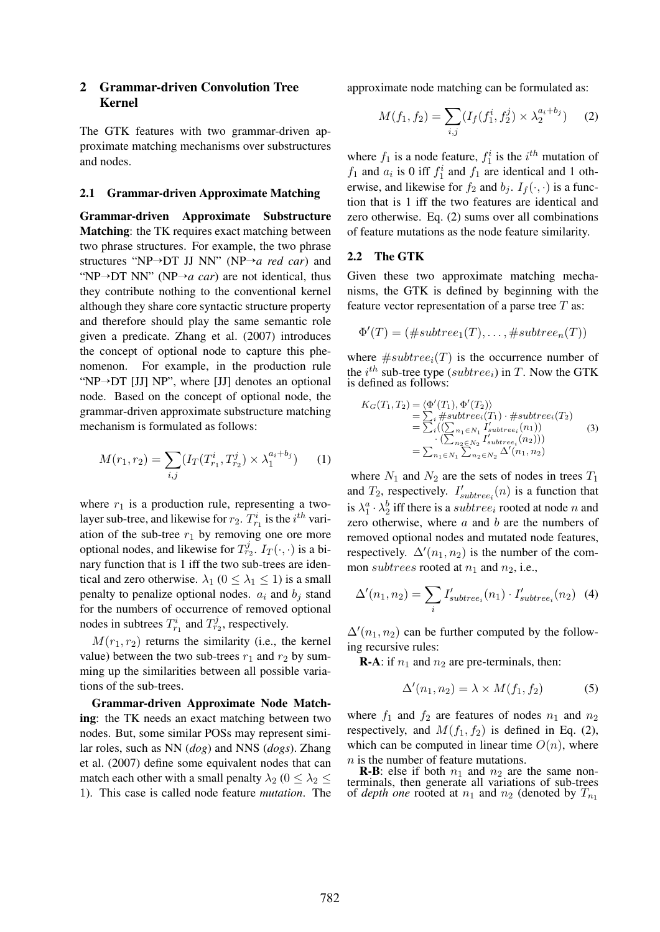# 2 Grammar-driven Convolution Tree Kernel

The GTK features with two grammar-driven approximate matching mechanisms over substructures and nodes.

#### 2.1 Grammar-driven Approximate Matching

Grammar-driven Approximate Substructure Matching: the TK requires exact matching between two phrase structures. For example, the two phrase structures "NP→DT JJ NN" (NP→*a red car*) and "NP→DT NN" (NP→*a car*) are not identical, thus they contribute nothing to the conventional kernel although they share core syntactic structure property and therefore should play the same semantic role given a predicate. Zhang et al. (2007) introduces the concept of optional node to capture this phenomenon. For example, in the production rule "NP $\rightarrow$ DT [JJ] NP", where [JJ] denotes an optional node. Based on the concept of optional node, the grammar-driven approximate substructure matching mechanism is formulated as follows:

$$
M(r_1, r_2) = \sum_{i,j} (I_T(T_{r_1}^i, T_{r_2}^j) \times \lambda_1^{a_i + b_j}) \tag{1}
$$

where  $r_1$  is a production rule, representing a twolayer sub-tree, and likewise for  $r_2$ .  $T_{r_1}^i$  is the  $i^{th}$  variation of the sub-tree  $r_1$  by removing one ore more optional nodes, and likewise for  $T_{r_2}^j$ .  $I_T(\cdot, \cdot)$  is a binary function that is 1 iff the two sub-trees are identical and zero otherwise.  $\lambda_1$  ( $0 \leq \lambda_1 \leq 1$ ) is a small penalty to penalize optional nodes.  $a_i$  and  $b_j$  stand for the numbers of occurrence of removed optional nodes in subtrees  $T_{r_1}^i$  and  $T_{r_2}^j$ , respectively.

 $M(r_1, r_2)$  returns the similarity (i.e., the kernel value) between the two sub-trees  $r_1$  and  $r_2$  by summing up the similarities between all possible variations of the sub-trees.

Grammar-driven Approximate Node Matching: the TK needs an exact matching between two nodes. But, some similar POSs may represent similar roles, such as NN (*dog*) and NNS (*dogs*). Zhang et al. (2007) define some equivalent nodes that can match each other with a small penalty  $\lambda_2$  ( $0 \leq \lambda_2 \leq$ 1). This case is called node feature *mutation*. The approximate node matching can be formulated as:

$$
M(f_1, f_2) = \sum_{i,j} (I_f(f_1^i, f_2^j) \times \lambda_2^{a_i + b_j}) \quad (2)
$$

where  $f_1$  is a node feature,  $f_1^i$  is the  $i^{th}$  mutation of  $f_1$  and  $a_i$  is 0 iff  $f_1^i$  and  $f_1$  are identical and 1 otherwise, and likewise for  $f_2$  and  $b_j$ .  $I_f(\cdot, \cdot)$  is a function that is 1 iff the two features are identical and zero otherwise. Eq. (2) sums over all combinations of feature mutations as the node feature similarity.

#### 2.2 The GTK

Given these two approximate matching mechanisms, the GTK is defined by beginning with the feature vector representation of a parse tree  $T$  as:

$$
\Phi'(T) = (\#subtree_1(T), \dots, \#subtree_n(T))
$$

where  $#subtree_i(T)$  is the occurrence number of the  $i^{th}$  sub-tree type (subtree<sub>i</sub>) in T. Now the GTK is defined as follows:

$$
K_G(T_1, T_2) = \langle \Phi'(T_1), \Phi'(T_2) \rangle
$$
  
=  $\sum_i$  #subtree<sub>i</sub>(T<sub>1</sub>) · #subtree<sub>i</sub>(T<sub>2</sub>)  
=  $\sum_i ((\sum_{n_1 \in N_1} I'_{subtree_i}(n_1))$   
·  $(\sum_{n_2 \in N_2} I'_{subtree_i}(n_2))$ )  
=  $\sum_{n_1 \in N_1} \sum_{n_2 \in N_2} \Delta'(n_1, n_2)$  (3)

where  $N_1$  and  $N_2$  are the sets of nodes in trees  $T_1$ and  $T_2$ , respectively.  $I'_{subtree_i}(n)$  is a function that is  $\lambda_1^a \cdot \lambda_2^b$  iff there is a *subtree<sub>i</sub>* rooted at node *n* and zero otherwise, where  $a$  and  $b$  are the numbers of removed optional nodes and mutated node features, respectively.  $\Delta'(n_1, n_2)$  is the number of the common subtrees rooted at  $n_1$  and  $n_2$ , i.e.,

$$
\Delta'(n_1, n_2) = \sum_i I'_{subtree_i}(n_1) \cdot I'_{subtree_i}(n_2) \tag{4}
$$

 $\Delta(n_1, n_2)$  can be further computed by the following recursive rules:

**R-A:** if  $n_1$  and  $n_2$  are pre-terminals, then:

$$
\Delta'(n_1, n_2) = \lambda \times M(f_1, f_2)
$$
 (5)

where  $f_1$  and  $f_2$  are features of nodes  $n_1$  and  $n_2$ respectively, and  $M(f_1, f_2)$  is defined in Eq. (2), which can be computed in linear time  $O(n)$ , where n is the number of feature mutations.

**R-B**: else if both  $n_1$  and  $n_2$  are the same nonterminals, then generate all variations of sub-trees of *depth one* rooted at  $n_1$  and  $n_2$  (denoted by  $T_{n_1}$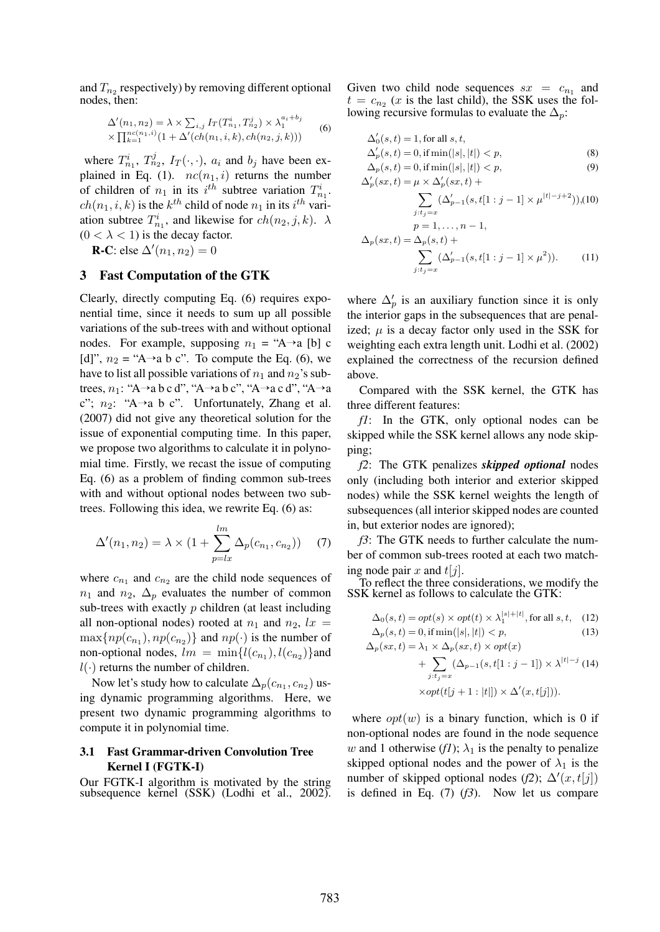and  $T_{n_2}$  respectively) by removing different optional nodes, then:

$$
\Delta'(n_1, n_2) = \lambda \times \sum_{i,j} I_T(T_{n_1}^i, T_{n_2}^j) \times \lambda_1^{a_i + b_j}
$$
  
 
$$
\times \prod_{k=1}^{n_c(n_1, i)} (1 + \Delta'(ch(n_1, i, k), ch(n_2, j, k)))
$$
 (6)

where  $T_{n_1}^i$ ,  $T_{n_2}^j$ ,  $I_T(\cdot, \cdot)$ ,  $a_i$  and  $b_j$  have been explained in Eq. (1).  $nc(n_1, i)$  returns the number of children of  $n_1$  in its  $i^{th}$  subtree variation  $T_{n_1}^i$ .  $ch(n_1, i, k)$  is the  $k^{th}$  child of node  $n_1$  in its  $i^{th}$  variation subtree  $T_{n_1}^i$ , and likewise for  $ch(n_2, j, k)$ .  $\lambda$  $(0 < \lambda < 1)$  is the decay factor.

**R-C**: else  $\Delta'(n_1, n_2) = 0$ 

# 3 Fast Computation of the GTK

Clearly, directly computing Eq. (6) requires exponential time, since it needs to sum up all possible variations of the sub-trees with and without optional nodes. For example, supposing  $n_1 = "A \rightarrow a$  [b] c [d]",  $n_2 =$  "A→a b c". To compute the Eq. (6), we have to list all possible variations of  $n_1$  and  $n_2$ 's subtrees,  $n_1$ : "A→a b c d", "A→a b c", "A→a c d", "A→a c";  $n_2$ : "A→a b c". Unfortunately, Zhang et al. (2007) did not give any theoretical solution for the issue of exponential computing time. In this paper, we propose two algorithms to calculate it in polynomial time. Firstly, we recast the issue of computing Eq. (6) as a problem of finding common sub-trees with and without optional nodes between two subtrees. Following this idea, we rewrite Eq. (6) as:

$$
\Delta'(n_1, n_2) = \lambda \times (1 + \sum_{p=lx}^{lm} \Delta_p(c_{n_1}, c_{n_2}))
$$
 (7)

where  $c_{n_1}$  and  $c_{n_2}$  are the child node sequences of  $n_1$  and  $n_2$ ,  $\Delta_p$  evaluates the number of common sub-trees with exactly  $p$  children (at least including all non-optional nodes) rooted at  $n_1$  and  $n_2$ ,  $lx =$  $\max\{np(c_{n_1}), np(c_{n_2})\}$  and  $np(\cdot)$  is the number of non-optional nodes,  $lm = \min\{l(c_{n_1}), l(c_{n_2})\}$ and  $l(\cdot)$  returns the number of children.

Now let's study how to calculate  $\Delta_p(c_{n_1},c_{n_2})$  using dynamic programming algorithms. Here, we present two dynamic programming algorithms to compute it in polynomial time.

# 3.1 Fast Grammar-driven Convolution Tree Kernel I (FGTK-I)

Our FGTK-I algorithm is motivated by the string subsequence kernel (SSK) (Lodhi et al., 2002).

Given two child node sequences  $sx = c_{n_1}$  and  $t = c_{n_2}$  (x is the last child), the SSK uses the following recursive formulas to evaluate the  $\Delta_p$ :

$$
\Delta'_0(s,t) = 1, \text{ for all } s,t,\n\Delta'_p(s,t) = 0, \text{ if } \min(|s|,|t|) < p,
$$
\n(8)

$$
\Delta_p(s,t) = 0, \text{ if } \min(|s|,|t|) < p, \\ \Delta'_p(sx,t) = \mu \times \Delta'_p(sx,t) + \tag{9}
$$

$$
\sum_{j:t_j=x} (\Delta'_{p-1}(s, t[1 : j-1] \times \mu^{|t|-j+2})), (10)
$$

$$
p = 1, ..., n-1,
$$

$$
\Delta_p(sx, t) = \Delta_p(s, t) + \sum_{j:t_j=x} (\Delta'_{p-1}(s, t[1 : j-1] \times \mu^2)).
$$
 (11)

where  $\Delta'_p$  is an auxiliary function since it is only the interior gaps in the subsequences that are penalized;  $\mu$  is a decay factor only used in the SSK for weighting each extra length unit. Lodhi et al. (2002) explained the correctness of the recursion defined above.

Compared with the SSK kernel, the GTK has three different features:

*f1*: In the GTK, only optional nodes can be skipped while the SSK kernel allows any node skipping;

*f2*: The GTK penalizes *skipped optional* nodes only (including both interior and exterior skipped nodes) while the SSK kernel weights the length of subsequences (all interior skipped nodes are counted in, but exterior nodes are ignored);

*f3*: The GTK needs to further calculate the number of common sub-trees rooted at each two matching node pair x and  $t[j]$ .

To reflect the three considerations, we modify the SSK kernel as follows to calculate the GTK:

$$
\Delta_0(s, t) = opt(s) \times opt(t) \times \lambda_1^{|s|+|t|}, \text{for all } s, t, \quad (12)
$$
  

$$
\Delta_p(s, t) = 0, \text{ if } \min(|s|, |t|) < p, \quad (13)
$$

$$
\Delta_p(sx, t) = \lambda_1 \times \Delta_p(sx, t) \times opt(x)
$$
  
+ 
$$
\sum_{j:t_j=x} (\Delta_{p-1}(s, t[1:j-1]) \times \lambda^{|t|-j} (14)
$$
  

$$
\times opt(t[j+1 : |t|]) \times \Delta'(x, t[j])).
$$

where  $opt(w)$  is a binary function, which is 0 if non-optional nodes are found in the node sequence w and 1 otherwise  $(f1)$ ;  $\lambda_1$  is the penalty to penalize skipped optional nodes and the power of  $\lambda_1$  is the number of skipped optional nodes (*f2*);  $\Delta'(x, t[j])$ is defined in Eq. (7) (*f3*). Now let us compare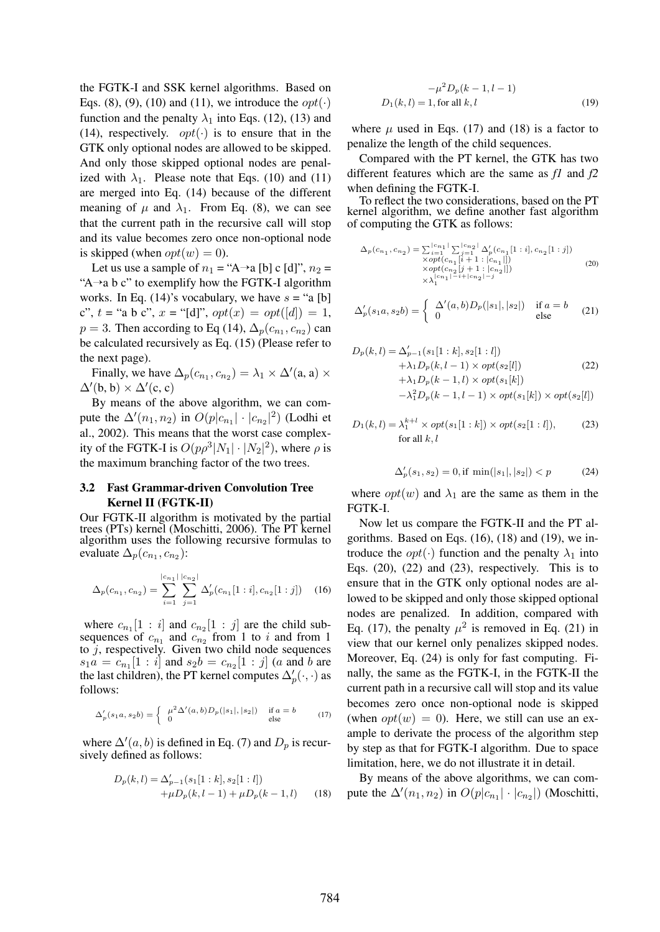the FGTK-I and SSK kernel algorithms. Based on Eqs. (8), (9), (10) and (11), we introduce the  $opt(\cdot)$ function and the penalty  $\lambda_1$  into Eqs. (12), (13) and (14), respectively.  $opt(\cdot)$  is to ensure that in the GTK only optional nodes are allowed to be skipped. And only those skipped optional nodes are penalized with  $\lambda_1$ . Please note that Eqs. (10) and (11) are merged into Eq. (14) because of the different meaning of  $\mu$  and  $\lambda_1$ . From Eq. (8), we can see that the current path in the recursive call will stop and its value becomes zero once non-optional node is skipped (when  $opt(w) = 0$ ).

Let us use a sample of  $n_1 = "A \rightarrow a [b] c [d]", n_2 =$ "A $\rightarrow$ a b c" to exemplify how the FGTK-I algorithm works. In Eq. (14)'s vocabulary, we have  $s = "a [b]$ c",  $t =$  "a b c",  $x =$  "[d]",  $opt(x) = opt([d]) = 1$ ,  $p = 3$ . Then according to Eq (14),  $\Delta_p(c_{n_1}, c_{n_2})$  can be calculated recursively as Eq. (15) (Please refer to the next page).

Finally, we have  $\Delta_p(c_{n_1}, c_{n_2}) = \lambda_1 \times \Delta'(a, a) \times$  $\Delta'$ (b, b) ×  $\Delta'$ (c, c)

By means of the above algorithm, we can compute the  $\Delta'(n_1, n_2)$  in  $O(p|c_{n_1}| \cdot |c_{n_2}|^2)$  (Lodhi et al., 2002). This means that the worst case complexity of the FGTK-I is  $O(p\rho^3|N_1|\cdot|N_2|^2)$ , where  $\rho$  is the maximum branching factor of the two trees.

# 3.2 Fast Grammar-driven Convolution Tree Kernel II (FGTK-II)

Our FGTK-II algorithm is motivated by the partial trees (PTs) kernel (Moschitti, 2006). The PT kernel algorithm uses the following recursive formulas to evaluate  $\Delta_p(c_{n_1}, c_{n_2})$ :

$$
\Delta_p(c_{n_1}, c_{n_2}) = \sum_{i=1}^{|c_{n_1}|} \sum_{j=1}^{|c_{n_2}|} \Delta'_p(c_{n_1}[1:i], c_{n_2}[1:j]) \quad (16)
$$

where  $c_{n_1}[1 : i]$  and  $c_{n_2}[1 : j]$  are the child subsequences of  $c_{n_1}$  and  $c_{n_2}$  from 1 to i and from 1 to  $j$ , respectively. Given two child node sequences  $s_1 a = c_{n_1} [1 : i]$  and  $s_2 b = c_{n_2} [1 : j]$  (a and b are the last children), the PT kernel computes  $\Delta'_p(\cdot, \cdot)$  as follows:

$$
\Delta'_p(s_1 a, s_2 b) = \begin{cases} \mu^2 \Delta'(a, b) D_p(|s_1|, |s_2|) & \text{if } a = b \\ 0 & \text{else} \end{cases}
$$
 (17)

where  $\Delta'(a, b)$  is defined in Eq. (7) and  $D_p$  is recursively defined as follows:

$$
D_p(k,l) = \Delta'_{p-1}(s_1[1:k], s_2[1:l])
$$
  
 
$$
+\mu D_p(k,l-1) + \mu D_p(k-1,l)
$$
 (18)

$$
-\mu^{2}D_{p}(k-1, l-1)
$$
  
D<sub>1</sub>(k,l) = 1, for all k,l (19)

where  $\mu$  used in Eqs. (17) and (18) is a factor to penalize the length of the child sequences.

Compared with the PT kernel, the GTK has two different features which are the same as *f1* and *f2* when defining the FGTK-I.

To reflect the two considerations, based on the PT kernel algorithm, we define another fast algorithm of computing the GTK as follows:

$$
\Delta_p(c_{n_1}, c_{n_2}) = \sum_{i=1}^{|c_{n_1}|} \sum_{j=1}^{|c_{n_2}|} \Delta'_p(c_{n_1}[1:i], c_{n_2}[1:j])
$$
  
\n
$$
\times opt(c_{n_1}[i+1:[c_{n_1}]])
$$
  
\n
$$
\times opt(c_{n_2}[j+1:[c_{n_2}]])
$$
  
\n
$$
\times \lambda_1^{|c_{n_1}| - i + |c_{n_2}| - j}
$$
\n(20)

$$
\Delta'_p(s_1a, s_2b) = \begin{cases} \Delta'(a, b)D_p(|s_1|, |s_2|) & \text{if } a = b \\ 0 & \text{else} \end{cases}
$$
 (21)

$$
D_p(k, l) = \Delta'_{p-1}(s_1[1:k], s_2[1:l])
$$
  
+  $\lambda_1 D_p(k, l-1) \times opt(s_2[l])$  (22)  
+  $\lambda_1 D_p(k-1, l) \times opt(s_1[k])$   
-  $\lambda_1^2 D_p(k-1, l-1) \times opt(s_1[k]) \times opt(s_2[l])$ 

$$
D_1(k,l) = \lambda_1^{k+l} \times opt(s_1[1:k]) \times opt(s_2[1:l]),
$$
 (23)  
for all  $k, l$ 

$$
\Delta'_p(s_1, s_2) = 0, \text{if } \min(|s_1|, |s_2|) < p \tag{24}
$$

where  $opt(w)$  and  $\lambda_1$  are the same as them in the FGTK-I.

Now let us compare the FGTK-II and the PT algorithms. Based on Eqs. (16), (18) and (19), we introduce the *opt*( $\cdot$ ) function and the penalty  $\lambda_1$  into Eqs.  $(20)$ ,  $(22)$  and  $(23)$ , respectively. This is to ensure that in the GTK only optional nodes are allowed to be skipped and only those skipped optional nodes are penalized. In addition, compared with Eq. (17), the penalty  $\mu^2$  is removed in Eq. (21) in view that our kernel only penalizes skipped nodes. Moreover, Eq. (24) is only for fast computing. Finally, the same as the FGTK-I, in the FGTK-II the current path in a recursive call will stop and its value becomes zero once non-optional node is skipped (when  $opt(w) = 0$ ). Here, we still can use an example to derivate the process of the algorithm step by step as that for FGTK-I algorithm. Due to space limitation, here, we do not illustrate it in detail.

By means of the above algorithms, we can compute the  $\Delta'(n_1, n_2)$  in  $O(p|c_{n_1}| \cdot |c_{n_2}|)$  (Moschitti,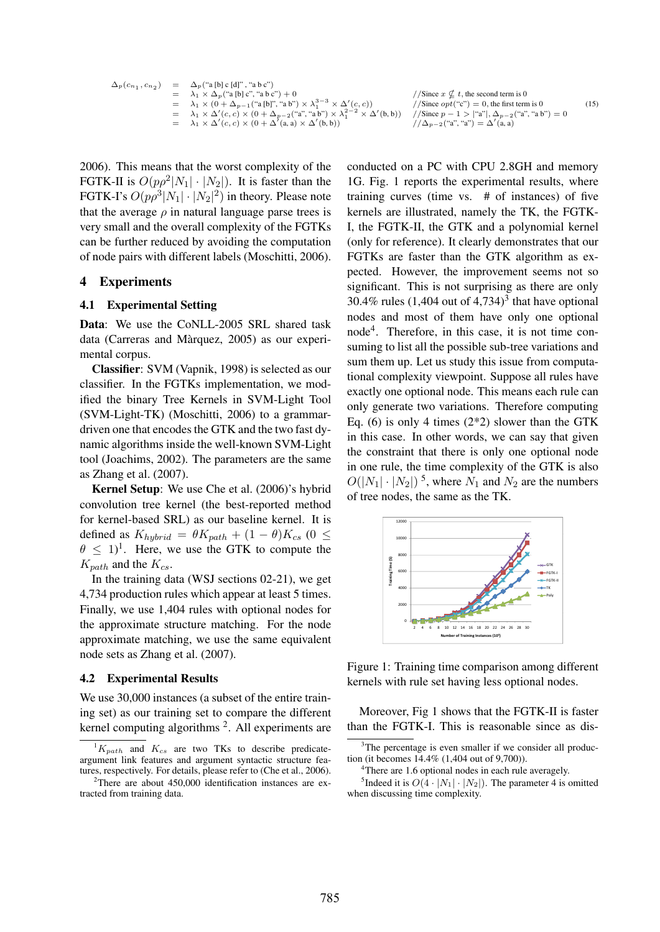$$
\Delta_p(c_{n_1}, c_{n_2}) = \Delta_p(\text{``a [b] c [d]''}, \text{``a b c''})
$$
\n
$$
= \lambda_1 \times \Delta_p(\text{``a [b] c [d]''}, \text{``a b c''}) + 0
$$
\n
$$
= \lambda_1 \times (0 + \Delta_{p-1}(\text{``a [b]''}, \text{``a b''}) \times \lambda_1^{3-3} \times \Delta'(c, c))
$$
\n
$$
= \lambda_1 \times \Delta'(c, c) \times (0 + \Delta_{p-2}(\text{``a''}, \text{``a b''}) \times \lambda_1^{2-2} \times \Delta'(b, b))
$$
\n
$$
= \lambda_1 \times \Delta'(c, c) \times (0 + \Delta'(a, a) \times \Delta'(b, b))
$$
\n
$$
= \lambda_1 \times \Delta'(c, c) \times (0 + \Delta'(a, a) \times \Delta'(b, b))
$$
\n
$$
= \lambda_2 \times \Delta'(c, c) \times (0 + \Delta'(a, a) \times \Delta'(b, b))
$$
\n
$$
= \Delta'(a, a)
$$
\n
$$
= \Delta'(a, a)
$$
\n
$$
(15)
$$

2006). This means that the worst complexity of the FGTK-II is  $O(p\rho^2|N_1|\cdot|N_2|)$ . It is faster than the FGTK-I's  $O(p\rho^3|N_1|\cdot|N_2|^2)$  in theory. Please note that the average  $\rho$  in natural language parse trees is very small and the overall complexity of the FGTKs can be further reduced by avoiding the computation of node pairs with different labels (Moschitti, 2006).

#### 4 Experiments

#### 4.1 Experimental Setting

Data: We use the CoNLL-2005 SRL shared task data (Carreras and Màrquez, 2005) as our experimental corpus.

Classifier: SVM (Vapnik, 1998) is selected as our classifier. In the FGTKs implementation, we modified the binary Tree Kernels in SVM-Light Tool (SVM-Light-TK) (Moschitti, 2006) to a grammardriven one that encodes the GTK and the two fast dynamic algorithms inside the well-known SVM-Light tool (Joachims, 2002). The parameters are the same as Zhang et al. (2007).

Kernel Setup: We use Che et al. (2006)'s hybrid convolution tree kernel (the best-reported method for kernel-based SRL) as our baseline kernel. It is defined as  $K_{hybrid} = \theta K_{path} + (1 - \theta) K_{cs}$  (0  $\leq$  $\theta \leq 1$ <sup>1</sup>. Here, we use the GTK to compute the  $K_{path}$  and the  $K_{cs}$ .

In the training data (WSJ sections 02-21), we get 4,734 production rules which appear at least 5 times. Finally, we use 1,404 rules with optional nodes for the approximate structure matching. For the node approximate matching, we use the same equivalent node sets as Zhang et al. (2007).

#### 4.2 Experimental Results

We use 30,000 instances (a subset of the entire training set) as our training set to compare the different kernel computing algorithms  $2$ . All experiments are

conducted on a PC with CPU 2.8GH and memory 1G. Fig. 1 reports the experimental results, where training curves (time vs. # of instances) of five kernels are illustrated, namely the TK, the FGTK-I, the FGTK-II, the GTK and a polynomial kernel (only for reference). It clearly demonstrates that our FGTKs are faster than the GTK algorithm as expected. However, the improvement seems not so significant. This is not surprising as there are only 30.4% rules  $(1,404$  out of  $4,734)^3$  that have optional nodes and most of them have only one optional node<sup>4</sup> . Therefore, in this case, it is not time consuming to list all the possible sub-tree variations and sum them up. Let us study this issue from computational complexity viewpoint. Suppose all rules have exactly one optional node. This means each rule can only generate two variations. Therefore computing Eq. (6) is only 4 times  $(2^*2)$  slower than the GTK in this case. In other words, we can say that given the constraint that there is only one optional node in one rule, the time complexity of the GTK is also  $O(|N_1| \cdot |N_2|)^5$ , where  $N_1$  and  $N_2$  are the numbers of tree nodes, the same as the TK.



Figure 1: Training time comparison among different kernels with rule set having less optional nodes.

Moreover, Fig 1 shows that the FGTK-II is faster than the FGTK-I. This is reasonable since as dis-

 ${}^{1}K_{path}$  and  $K_{cs}$  are two TKs to describe predicateargument link features and argument syntactic structure features, respectively. For details, please refer to (Che et al., 2006).

 $2$ There are about 450,000 identification instances are extracted from training data.

<sup>&</sup>lt;sup>3</sup>The percentage is even smaller if we consider all production (it becomes 14.4% (1,404 out of 9,700)).

<sup>&</sup>lt;sup>4</sup>There are 1.6 optional nodes in each rule averagely.

<sup>&</sup>lt;sup>5</sup>Indeed it is  $O(4 \cdot |N_1| \cdot |N_2|)$ . The parameter 4 is omitted when discussing time complexity.